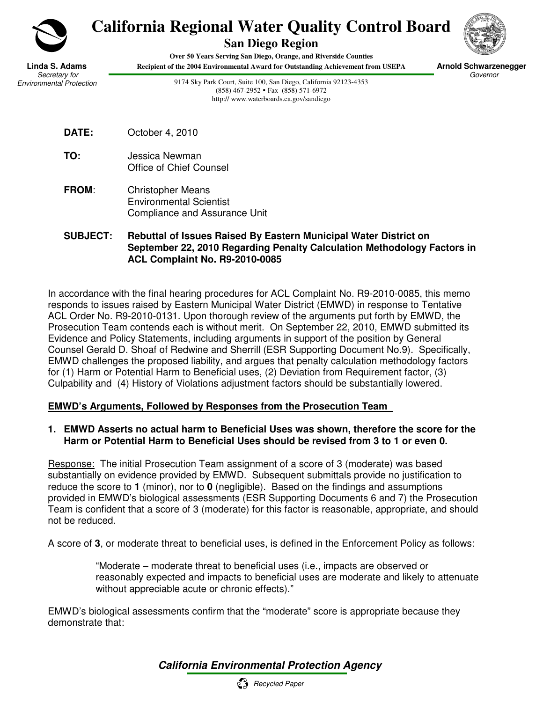

# **California Regional Water Quality Control Board**

**San Diego Region** 



 **Arnold Schwarzenegger** Governor

**Linda S. Adams** Secretary for Environmental Protection

**Over 50 Years Serving San Diego, Orange, and Riverside Counties Recipient of the 2004 Environmental Award for Outstanding Achievement from USEPA**

> 9174 Sky Park Court, Suite 100, San Diego, California 92123-4353 (858) 467-2952 Fax (858) 571-6972 http:// www.waterboards.ca.gov/sandiego



- **TO:** Jessica Newman Office of Chief Counsel
- **FROM**: Christopher Means Environmental Scientist Compliance and Assurance Unit

#### **SUBJECT: Rebuttal of Issues Raised By Eastern Municipal Water District on September 22, 2010 Regarding Penalty Calculation Methodology Factors in ACL Complaint No. R9-2010-0085**

In accordance with the final hearing procedures for ACL Complaint No. R9-2010-0085, this memo responds to issues raised by Eastern Municipal Water District (EMWD) in response to Tentative ACL Order No. R9-2010-0131. Upon thorough review of the arguments put forth by EMWD, the Prosecution Team contends each is without merit. On September 22, 2010, EMWD submitted its Evidence and Policy Statements, including arguments in support of the position by General Counsel Gerald D. Shoaf of Redwine and Sherrill (ESR Supporting Document No.9). Specifically, EMWD challenges the proposed liability, and argues that penalty calculation methodology factors for (1) Harm or Potential Harm to Beneficial uses, (2) Deviation from Requirement factor, (3) Culpability and (4) History of Violations adjustment factors should be substantially lowered.

### **EMWD's Arguments, Followed by Responses from the Prosecution Team**

#### **1. EMWD Asserts no actual harm to Beneficial Uses was shown, therefore the score for the Harm or Potential Harm to Beneficial Uses should be revised from 3 to 1 or even 0.**

Response: The initial Prosecution Team assignment of a score of 3 (moderate) was based substantially on evidence provided by EMWD. Subsequent submittals provide no justification to reduce the score to **1** (minor), nor to **0** (negligible). Based on the findings and assumptions provided in EMWD's biological assessments (ESR Supporting Documents 6 and 7) the Prosecution Team is confident that a score of 3 (moderate) for this factor is reasonable, appropriate, and should not be reduced.

A score of **3**, or moderate threat to beneficial uses, is defined in the Enforcement Policy as follows:

"Moderate – moderate threat to beneficial uses (i.e., impacts are observed or reasonably expected and impacts to beneficial uses are moderate and likely to attenuate without appreciable acute or chronic effects)."

EMWD's biological assessments confirm that the "moderate" score is appropriate because they demonstrate that:

## **California Environmental Protection Agency**

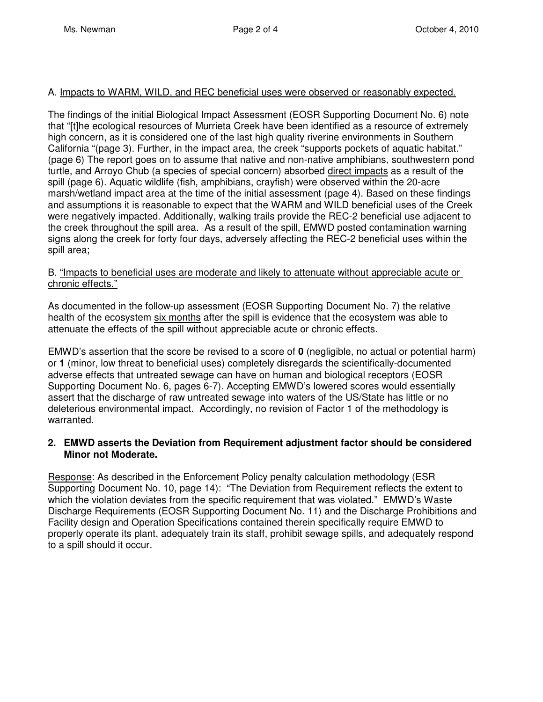#### A. Impacts to WARM, WILD, and REC beneficial uses were observed or reasonably expected.

The findings of the initial Biological Impact Assessment (EOSR Supporting Document No. 6) note that "[t]he ecological resources of Murrieta Creek have been identified as a resource of extremely high concern, as it is considered one of the last high quality riverine environments in Southern California "(page 3). Further, in the impact area, the creek "supports pockets of aquatic habitat." (page 6) The report goes on to assume that native and non-native amphibians, southwestern pond turtle, and Arroyo Chub (a species of special concern) absorbed direct impacts as a result of the spill (page 6). Aquatic wildlife (fish, amphibians, crayfish) were observed within the 20-acre marsh/wetland impact area at the time of the initial assessment (page 4). Based on these findings and assumptions it is reasonable to expect that the WARM and WILD beneficial uses of the Creek were negatively impacted. Additionally, walking trails provide the REC-2 beneficial use adjacent to the creek throughout the spill area. As a result of the spill, EMWD posted contamination warning signs along the creek for forty four days, adversely affecting the REC-2 beneficial uses within the spill area;

#### B. "Impacts to beneficial uses are moderate and likely to attenuate without appreciable acute or chronic effects."

As documented in the follow-up assessment (EOSR Supporting Document No. 7) the relative health of the ecosystem six months after the spill is evidence that the ecosystem was able to attenuate the effects of the spill without appreciable acute or chronic effects.

EMWD's assertion that the score be revised to a score of **0** (negligible, no actual or potential harm) or **1** (minor, low threat to beneficial uses) completely disregards the scientifically-documented adverse effects that untreated sewage can have on human and biological receptors (EOSR Supporting Document No. 6, pages 6-7). Accepting EMWD's lowered scores would essentially assert that the discharge of raw untreated sewage into waters of the US/State has little or no deleterious environmental impact. Accordingly, no revision of Factor 1 of the methodology is warranted.

#### **2. EMWD asserts the Deviation from Requirement adjustment factor should be considered Minor not Moderate.**

Response: As described in the Enforcement Policy penalty calculation methodology (ESR Supporting Document No. 10, page 14): "The Deviation from Requirement reflects the extent to which the violation deviates from the specific requirement that was violated." EMWD's Waste Discharge Requirements (EOSR Supporting Document No. 11) and the Discharge Prohibitions and Facility design and Operation Specifications contained therein specifically require EMWD to properly operate its plant, adequately train its staff, prohibit sewage spills, and adequately respond to a spill should it occur.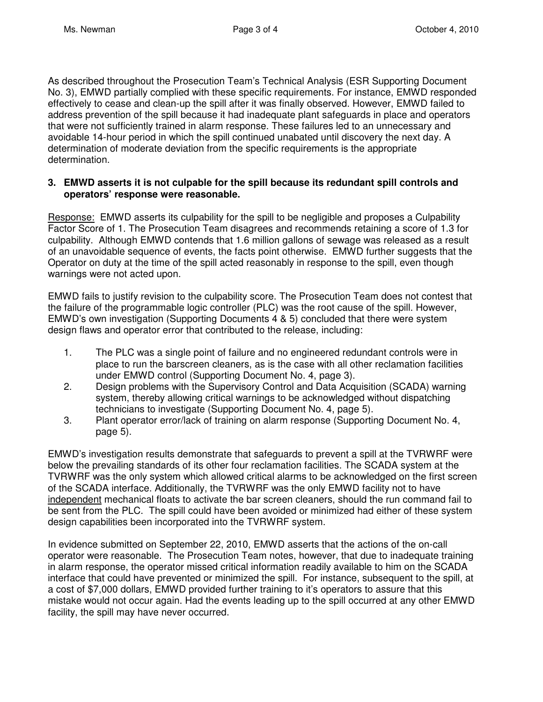As described throughout the Prosecution Team's Technical Analysis (ESR Supporting Document No. 3), EMWD partially complied with these specific requirements. For instance, EMWD responded effectively to cease and clean-up the spill after it was finally observed. However, EMWD failed to address prevention of the spill because it had inadequate plant safeguards in place and operators that were not sufficiently trained in alarm response. These failures led to an unnecessary and avoidable 14-hour period in which the spill continued unabated until discovery the next day. A determination of moderate deviation from the specific requirements is the appropriate determination.

#### **3. EMWD asserts it is not culpable for the spill because its redundant spill controls and operators' response were reasonable.**

Response: EMWD asserts its culpability for the spill to be negligible and proposes a Culpability Factor Score of 1. The Prosecution Team disagrees and recommends retaining a score of 1.3 for culpability. Although EMWD contends that 1.6 million gallons of sewage was released as a result of an unavoidable sequence of events, the facts point otherwise. EMWD further suggests that the Operator on duty at the time of the spill acted reasonably in response to the spill, even though warnings were not acted upon.

EMWD fails to justify revision to the culpability score. The Prosecution Team does not contest that the failure of the programmable logic controller (PLC) was the root cause of the spill. However, EMWD's own investigation (Supporting Documents 4 & 5) concluded that there were system design flaws and operator error that contributed to the release, including:

- 1. The PLC was a single point of failure and no engineered redundant controls were in place to run the barscreen cleaners, as is the case with all other reclamation facilities under EMWD control (Supporting Document No. 4, page 3).
- 2. Design problems with the Supervisory Control and Data Acquisition (SCADA) warning system, thereby allowing critical warnings to be acknowledged without dispatching technicians to investigate (Supporting Document No. 4, page 5).
- 3. Plant operator error/lack of training on alarm response (Supporting Document No. 4, page 5).

EMWD's investigation results demonstrate that safeguards to prevent a spill at the TVRWRF were below the prevailing standards of its other four reclamation facilities. The SCADA system at the TVRWRF was the only system which allowed critical alarms to be acknowledged on the first screen of the SCADA interface. Additionally, the TVRWRF was the only EMWD facility not to have independent mechanical floats to activate the bar screen cleaners, should the run command fail to be sent from the PLC. The spill could have been avoided or minimized had either of these system design capabilities been incorporated into the TVRWRF system.

In evidence submitted on September 22, 2010, EMWD asserts that the actions of the on-call operator were reasonable. The Prosecution Team notes, however, that due to inadequate training in alarm response, the operator missed critical information readily available to him on the SCADA interface that could have prevented or minimized the spill. For instance, subsequent to the spill, at a cost of \$7,000 dollars, EMWD provided further training to it's operators to assure that this mistake would not occur again. Had the events leading up to the spill occurred at any other EMWD facility, the spill may have never occurred.